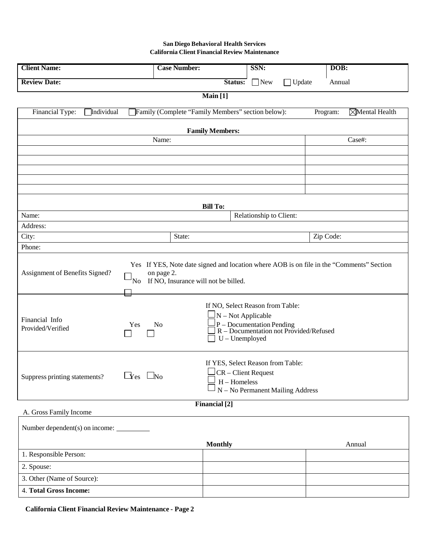## **San Diego Behavioral Health Services California Client Financial Review Maintenance**

| <b>Client Name:</b>                                                                                                                                                                     | <b>Case Number:</b>                               | SSN:                                                                                                                                                 | DOB:                      |  |
|-----------------------------------------------------------------------------------------------------------------------------------------------------------------------------------------|---------------------------------------------------|------------------------------------------------------------------------------------------------------------------------------------------------------|---------------------------|--|
| <b>Review Date:</b>                                                                                                                                                                     |                                                   | Status:<br>$\Box$ New                                                                                                                                | $\Box$ Update<br>Annual   |  |
| Main [1]                                                                                                                                                                                |                                                   |                                                                                                                                                      |                           |  |
| Financial Type:<br>Individual                                                                                                                                                           | Family (Complete "Family Members" section below): |                                                                                                                                                      | Mental Health<br>Program: |  |
|                                                                                                                                                                                         | <b>Family Members:</b>                            |                                                                                                                                                      |                           |  |
|                                                                                                                                                                                         | Name:                                             |                                                                                                                                                      | Case#:                    |  |
|                                                                                                                                                                                         |                                                   |                                                                                                                                                      |                           |  |
|                                                                                                                                                                                         |                                                   |                                                                                                                                                      |                           |  |
|                                                                                                                                                                                         |                                                   |                                                                                                                                                      |                           |  |
|                                                                                                                                                                                         |                                                   |                                                                                                                                                      |                           |  |
|                                                                                                                                                                                         | <b>Bill To:</b>                                   |                                                                                                                                                      |                           |  |
| Name:                                                                                                                                                                                   |                                                   | Relationship to Client:                                                                                                                              |                           |  |
| Address:                                                                                                                                                                                |                                                   |                                                                                                                                                      |                           |  |
| City:                                                                                                                                                                                   | State:                                            |                                                                                                                                                      | Zip Code:                 |  |
| Phone:                                                                                                                                                                                  |                                                   |                                                                                                                                                      |                           |  |
| Yes If YES, Note date signed and location where AOB is on file in the "Comments" Section<br>Assignment of Benefits Signed?<br>on page 2.<br>If NO, Insurance will not be billed.<br>'No |                                                   |                                                                                                                                                      |                           |  |
| Financial Info<br>Yes<br>Provided/Verified                                                                                                                                              | No                                                | If NO, Select Reason from Table:<br>$\frac{1}{2}N$ – Not Applicable<br>$P - Documentation PendingR - Documentation not Provided/RefusedU-Unemployed$ |                           |  |
| $\Box$ res $\Box$ No<br>Suppress printing statements?                                                                                                                                   |                                                   | If YES, Select Reason from Table:<br>CR - Client Request<br>$H -$ Homeless<br>N - No Permanent Mailing Address                                       |                           |  |
|                                                                                                                                                                                         | <b>Financial</b> [2]                              |                                                                                                                                                      |                           |  |
| A. Gross Family Income                                                                                                                                                                  |                                                   |                                                                                                                                                      |                           |  |
|                                                                                                                                                                                         |                                                   |                                                                                                                                                      |                           |  |
|                                                                                                                                                                                         | <b>Monthly</b>                                    |                                                                                                                                                      | Annual                    |  |
| 1. Responsible Person:                                                                                                                                                                  |                                                   |                                                                                                                                                      |                           |  |
| 2. Spouse:                                                                                                                                                                              |                                                   |                                                                                                                                                      |                           |  |
| 3. Other (Name of Source):                                                                                                                                                              |                                                   |                                                                                                                                                      |                           |  |
| 4. Total Gross Income:                                                                                                                                                                  |                                                   |                                                                                                                                                      |                           |  |

**California Client Financial Review Maintenance - Page 2**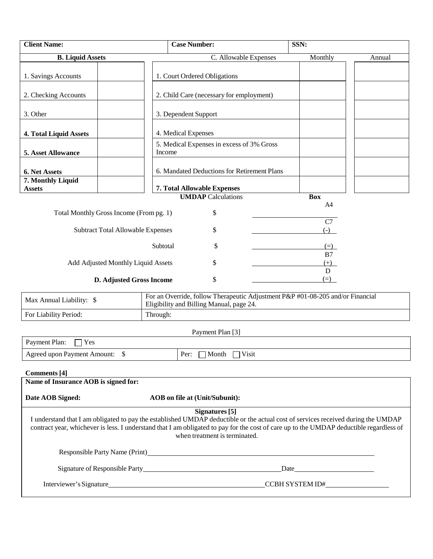| <b>Client Name:</b>                                                                                                                                                                                                                                                                                                                        | <b>Case Number:</b>                                                                                                        | SSN:         |        |  |
|--------------------------------------------------------------------------------------------------------------------------------------------------------------------------------------------------------------------------------------------------------------------------------------------------------------------------------------------|----------------------------------------------------------------------------------------------------------------------------|--------------|--------|--|
| <b>B.</b> Liquid Assets                                                                                                                                                                                                                                                                                                                    | C. Allowable Expenses                                                                                                      | Monthly      | Annual |  |
| 1. Savings Accounts                                                                                                                                                                                                                                                                                                                        | 1. Court Ordered Obligations                                                                                               |              |        |  |
| 2. Checking Accounts                                                                                                                                                                                                                                                                                                                       | 2. Child Care (necessary for employment)                                                                                   |              |        |  |
| 3. Other                                                                                                                                                                                                                                                                                                                                   | 3. Dependent Support                                                                                                       |              |        |  |
| 4. Total Liquid Assets                                                                                                                                                                                                                                                                                                                     | 4. Medical Expenses                                                                                                        |              |        |  |
| 5. Asset Allowance                                                                                                                                                                                                                                                                                                                         | 5. Medical Expenses in excess of 3% Gross<br>Income                                                                        |              |        |  |
| 6. Net Assets<br>7. Monthly Liquid                                                                                                                                                                                                                                                                                                         | 6. Mandated Deductions for Retirement Plans                                                                                |              |        |  |
| <b>Assets</b>                                                                                                                                                                                                                                                                                                                              | 7. Total Allowable Expenses                                                                                                |              |        |  |
|                                                                                                                                                                                                                                                                                                                                            | <b>UMDAP</b> Calculations                                                                                                  | <b>Box</b>   |        |  |
| Total Monthly Gross Income (From pg. 1)                                                                                                                                                                                                                                                                                                    | \$                                                                                                                         | A4           |        |  |
| <b>Subtract Total Allowable Expenses</b>                                                                                                                                                                                                                                                                                                   | \$                                                                                                                         | C7<br>$(-)$  |        |  |
|                                                                                                                                                                                                                                                                                                                                            | \$<br>Subtotal                                                                                                             | $(=\)$<br>B7 |        |  |
| Add Adjusted Monthly Liquid Assets                                                                                                                                                                                                                                                                                                         | \$                                                                                                                         | $(+)$<br>D   |        |  |
| \$<br>$(=\)$<br>D. Adjusted Gross Income                                                                                                                                                                                                                                                                                                   |                                                                                                                            |              |        |  |
| Max Annual Liability: \$                                                                                                                                                                                                                                                                                                                   | For an Override, follow Therapeutic Adjustment P&P #01-08-205 and/or Financial<br>Eligibility and Billing Manual, page 24. |              |        |  |
| For Liability Period:                                                                                                                                                                                                                                                                                                                      | Through:                                                                                                                   |              |        |  |
|                                                                                                                                                                                                                                                                                                                                            | Payment Plan [3]                                                                                                           |              |        |  |
| Payment Plan:<br>Yes                                                                                                                                                                                                                                                                                                                       |                                                                                                                            |              |        |  |
| Agreed upon Payment Amount: \$                                                                                                                                                                                                                                                                                                             | Per: $\Box$ Month $\Box$ Visit                                                                                             |              |        |  |
| Name of Insurance AOB is signed for:                                                                                                                                                                                                                                                                                                       |                                                                                                                            |              |        |  |
|                                                                                                                                                                                                                                                                                                                                            |                                                                                                                            |              |        |  |
| Date AOB Signed:                                                                                                                                                                                                                                                                                                                           | AOB on file at (Unit/Subunit):                                                                                             |              |        |  |
| Signatures <sup>[5]</sup><br>I understand that I am obligated to pay the established UMDAP deductible or the actual cost of services received during the UMDAP<br>contract year, whichever is less. I understand that I am obligated to pay for the cost of care up to the UMDAP deductible regardless of<br>when treatment is terminated. |                                                                                                                            |              |        |  |
|                                                                                                                                                                                                                                                                                                                                            |                                                                                                                            |              |        |  |
|                                                                                                                                                                                                                                                                                                                                            |                                                                                                                            |              |        |  |
|                                                                                                                                                                                                                                                                                                                                            |                                                                                                                            |              |        |  |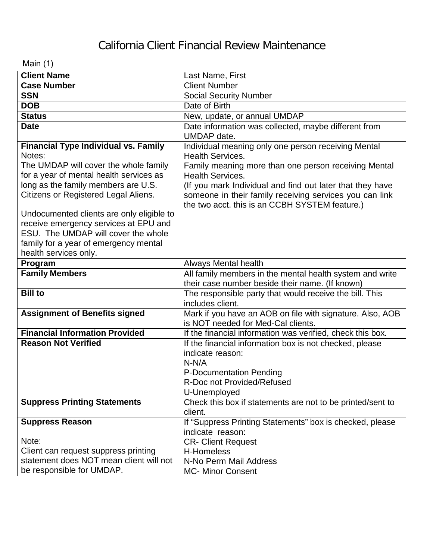## California Client Financial Review Maintenance

Main (1)

| <b>Client Name</b>                          | Last Name, First                                                                                |
|---------------------------------------------|-------------------------------------------------------------------------------------------------|
| <b>Case Number</b>                          | <b>Client Number</b>                                                                            |
| <b>SSN</b>                                  | <b>Social Security Number</b>                                                                   |
| <b>DOB</b>                                  | Date of Birth                                                                                   |
| <b>Status</b>                               | New, update, or annual UMDAP                                                                    |
| <b>Date</b>                                 |                                                                                                 |
|                                             | Date information was collected, maybe different from<br>UMDAP date.                             |
| <b>Financial Type Individual vs. Family</b> | Individual meaning only one person receiving Mental                                             |
| Notes:                                      | <b>Health Services.</b>                                                                         |
| The UMDAP will cover the whole family       | Family meaning more than one person receiving Mental                                            |
| for a year of mental health services as     | <b>Health Services.</b>                                                                         |
| long as the family members are U.S.         | (If you mark Individual and find out later that they have                                       |
| Citizens or Registered Legal Aliens.        | someone in their family receiving services you can link                                         |
|                                             | the two acct. this is an CCBH SYSTEM feature.)                                                  |
| Undocumented clients are only eligible to   |                                                                                                 |
| receive emergency services at EPU and       |                                                                                                 |
| ESU. The UMDAP will cover the whole         |                                                                                                 |
| family for a year of emergency mental       |                                                                                                 |
| health services only.                       |                                                                                                 |
| Program                                     | <b>Always Mental health</b>                                                                     |
| <b>Family Members</b>                       | All family members in the mental health system and write                                        |
|                                             | their case number beside their name. (If known)                                                 |
| <b>Bill to</b>                              | The responsible party that would receive the bill. This                                         |
|                                             | includes client.                                                                                |
| <b>Assignment of Benefits signed</b>        | Mark if you have an AOB on file with signature. Also, AOB<br>is NOT needed for Med-Cal clients. |
| <b>Financial Information Provided</b>       | If the financial information was verified, check this box.                                      |
| <b>Reason Not Verified</b>                  | If the financial information box is not checked, please                                         |
|                                             | indicate reason:                                                                                |
|                                             | $N-N/A$                                                                                         |
|                                             | P-Documentation Pending                                                                         |
|                                             | R-Doc not Provided/Refused                                                                      |
|                                             | U-Unemployed                                                                                    |
| <b>Suppress Printing Statements</b>         | Check this box if statements are not to be printed/sent to                                      |
|                                             | client.                                                                                         |
| <b>Suppress Reason</b>                      | If "Suppress Printing Statements" box is checked, please                                        |
|                                             | indicate reason:                                                                                |
| Note:                                       | <b>CR- Client Request</b>                                                                       |
| Client can request suppress printing        | H-Homeless                                                                                      |
| statement does NOT mean client will not     | N-No Perm Mail Address                                                                          |
| be responsible for UMDAP.                   | <b>MC- Minor Consent</b>                                                                        |